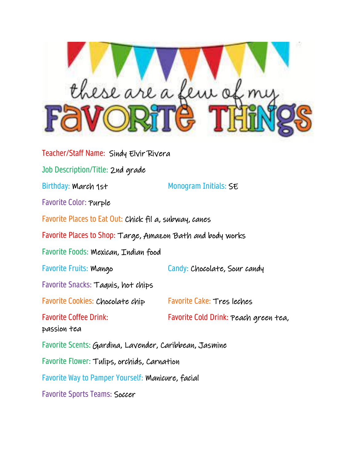

| Teacher/Staff Name: Sindy Elvir Rivera                     |                                       |
|------------------------------------------------------------|---------------------------------------|
| Job Description/Title: 2nd grade                           |                                       |
| Birthday: March 1st                                        | Monogram Initials: SE                 |
| Favorite Color: Purple                                     |                                       |
| Favorite Places to Eat Out: Chick fil a, subway, canes     |                                       |
| Favorite Places to Shop: Targe, Amazon Bath and body works |                                       |
| Favorite Foods: Mexican, Indian food                       |                                       |
| Favorite Fruits: Mango                                     | Candy: Chocolate, Sour candy          |
| Favorite Snacks: Taquis, hot chips                         |                                       |
| Favorite Cookies: Chocolate chip                           | <b>Favorite Cake: Tres leches</b>     |
| <b>Favorite Coffee Drink:</b><br>passion tea               | Favorite Cold Drink: Peach green tea, |
| Favorite Scents: Gardina, Lavender, Caribbean, Jasmine     |                                       |
| Favorite Flower: Tulips, orchids, Carnation                |                                       |
| Favorite Way to Pamper Yourself: Manicure, facial          |                                       |
| <b>Favorite Sports Teams: Soccer</b>                       |                                       |